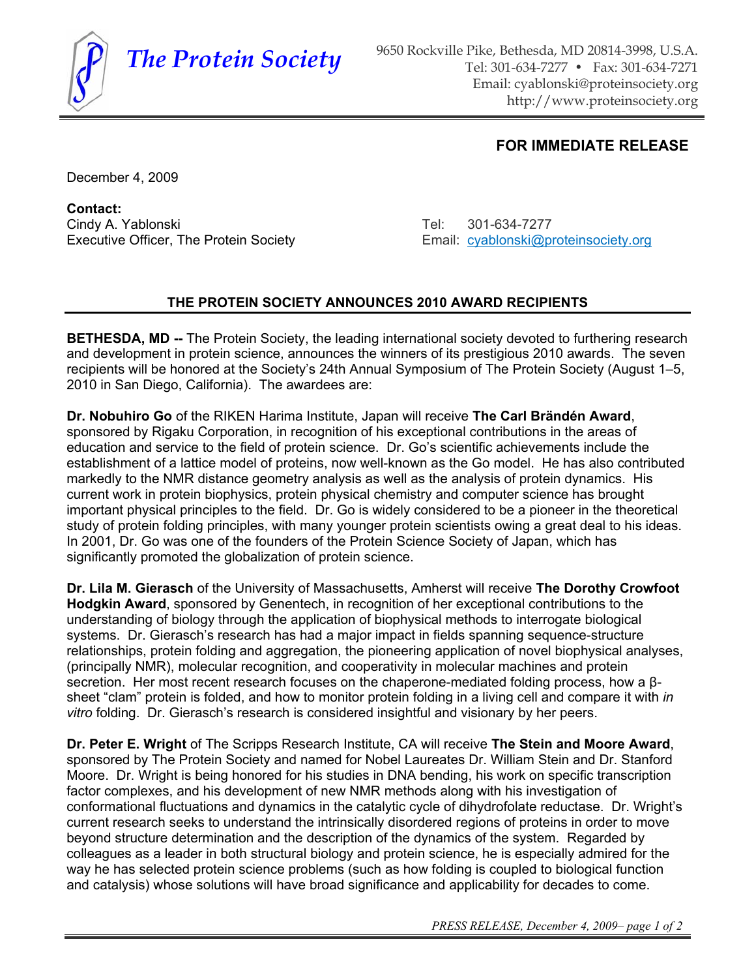

**The Protein Society** 9650 Rockville Pike, Bethesda, MD 20814-3998, U.S.A. Tel: 301-634-7277 • Fax: 301-634-7271 Email: cyablonski@proteinsociety.org http://www.proteinsociety.org

## **FOR IMMEDIATE RELEASE**

December 4, 2009

**Contact:** Cindy A. Yablonski Cindy A. Yablonski Cindy A. Yablonski Cindy A. Yablonski Cindy A. Yablonski Cindy A. Yablon

Executive Officer, The Protein Society **Email:** cyablonski@proteinsociety.org

## **THE PROTEIN SOCIETY ANNOUNCES 2010 AWARD RECIPIENTS**

**BETHESDA, MD --** The Protein Society, the leading international society devoted to furthering research and development in protein science, announces the winners of its prestigious 2010 awards. The seven recipients will be honored at the Society's 24th Annual Symposium of The Protein Society (August 1–5, 2010 in San Diego, California). The awardees are:

**Dr. Nobuhiro Go** of the RIKEN Harima Institute, Japan will receive **The Carl Brändén Award**, sponsored by Rigaku Corporation, in recognition of his exceptional contributions in the areas of education and service to the field of protein science. Dr. Go's scientific achievements include the establishment of a lattice model of proteins, now well-known as the Go model. He has also contributed markedly to the NMR distance geometry analysis as well as the analysis of protein dynamics. His current work in protein biophysics, protein physical chemistry and computer science has brought important physical principles to the field. Dr. Go is widely considered to be a pioneer in the theoretical study of protein folding principles, with many younger protein scientists owing a great deal to his ideas. In 2001, Dr. Go was one of the founders of the Protein Science Society of Japan, which has significantly promoted the globalization of protein science.

**Dr. Lila M. Gierasch** of the University of Massachusetts, Amherst will receive **The Dorothy Crowfoot Hodgkin Award**, sponsored by Genentech, in recognition of her exceptional contributions to the understanding of biology through the application of biophysical methods to interrogate biological systems. Dr. Gierasch's research has had a major impact in fields spanning sequence-structure relationships, protein folding and aggregation, the pioneering application of novel biophysical analyses, (principally NMR), molecular recognition, and cooperativity in molecular machines and protein secretion. Her most recent research focuses on the chaperone-mediated folding process, how a  $\beta$ sheet "clam" protein is folded, and how to monitor protein folding in a living cell and compare it with *in vitro* folding. Dr. Gierasch's research is considered insightful and visionary by her peers.

**Dr. Peter E. Wright** of The Scripps Research Institute, CA will receive **The Stein and Moore Award**, sponsored by The Protein Society and named for Nobel Laureates Dr. William Stein and Dr. Stanford Moore. Dr. Wright is being honored for his studies in DNA bending, his work on specific transcription factor complexes, and his development of new NMR methods along with his investigation of conformational fluctuations and dynamics in the catalytic cycle of dihydrofolate reductase. Dr. Wright's current research seeks to understand the intrinsically disordered regions of proteins in order to move beyond structure determination and the description of the dynamics of the system. Regarded by colleagues as a leader in both structural biology and protein science, he is especially admired for the way he has selected protein science problems (such as how folding is coupled to biological function and catalysis) whose solutions will have broad significance and applicability for decades to come.